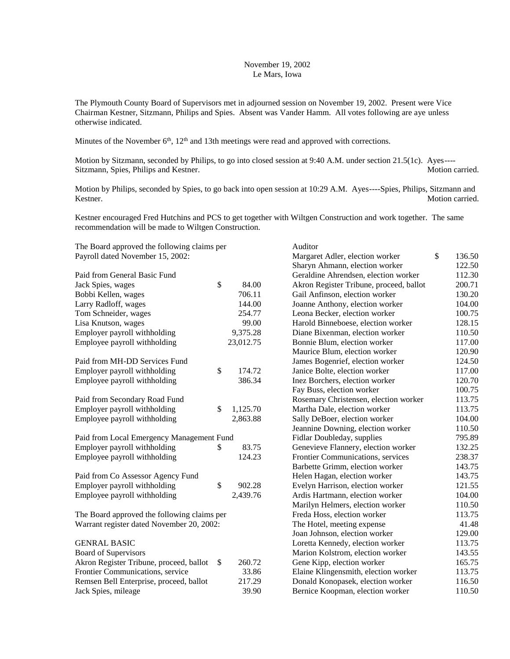## November 19, 2002 Le Mars, Iowa

The Plymouth County Board of Supervisors met in adjourned session on November 19, 2002. Present were Vice Chairman Kestner, Sitzmann, Philips and Spies. Absent was Vander Hamm. All votes following are aye unless otherwise indicated.

Minutes of the November  $6<sup>th</sup>$ ,  $12<sup>th</sup>$  and 13th meetings were read and approved with corrections.

Motion by Sitzmann, seconded by Philips, to go into closed session at 9:40 A.M. under section 21.5(1c). Ayes---- Sitzmann, Spies, Philips and Kestner. Motion carried. Motion carried.

Motion by Philips, seconded by Spies, to go back into open session at 10:29 A.M. Ayes----Spies, Philips, Sitzmann and Kestner. Motion carried.

Auditor

Margaret Adler, election worker \$ 136.50

Kestner encouraged Fred Hutchins and PCS to get together with Wiltgen Construction and work together. The same recommendation will be made to Wiltgen Construction.

The Board approved the following claims per Payroll dated November 15, 2002:

|                                             |    |           | Sharyn Ahmann, election worker          | 122.50 |
|---------------------------------------------|----|-----------|-----------------------------------------|--------|
| Paid from General Basic Fund                |    |           | Geraldine Ahrendsen, election worker    | 112.30 |
| Jack Spies, wages                           | \$ | 84.00     | Akron Register Tribune, proceed, ballot | 200.71 |
| Bobbi Kellen, wages                         |    | 706.11    | Gail Anfinson, election worker          | 130.20 |
| Larry Radloff, wages                        |    | 144.00    | Joanne Anthony, election worker         | 104.00 |
| Tom Schneider, wages                        |    | 254.77    | Leona Becker, election worker           | 100.75 |
| Lisa Knutson, wages                         |    | 99.00     | Harold Binneboese, election worker      | 128.15 |
| Employer payroll withholding                |    | 9,375.28  | Diane Bixenman, election worker         | 110.50 |
| Employee payroll withholding                |    | 23,012.75 | Bonnie Blum, election worker            | 117.00 |
|                                             |    |           | Maurice Blum, election worker           | 120.90 |
| Paid from MH-DD Services Fund               |    |           | James Bogenrief, election worker        | 124.50 |
| Employer payroll withholding                | \$ | 174.72    | Janice Bolte, election worker           | 117.00 |
| Employee payroll withholding                |    | 386.34    | Inez Borchers, election worker          | 120.70 |
|                                             |    |           | Fay Buss, election worker               | 100.75 |
| Paid from Secondary Road Fund               |    |           | Rosemary Christensen, election worker   | 113.75 |
| Employer payroll withholding                | \$ | 1,125.70  | Martha Dale, election worker            | 113.75 |
| Employee payroll withholding                |    | 2,863.88  | Sally DeBoer, election worker           | 104.00 |
|                                             |    |           | Jeannine Downing, election worker       | 110.50 |
| Paid from Local Emergency Management Fund   |    |           | Fidlar Doubleday, supplies              | 795.89 |
| Employer payroll withholding                | \$ | 83.75     | Genevieve Flannery, election worker     | 132.25 |
| Employee payroll withholding                |    | 124.23    | Frontier Communications, services       | 238.37 |
|                                             |    |           | Barbette Grimm, election worker         | 143.75 |
| Paid from Co Assessor Agency Fund           |    |           | Helen Hagan, election worker            | 143.75 |
| Employer payroll withholding                | \$ | 902.28    | Evelyn Harrison, election worker        | 121.55 |
| Employee payroll withholding                |    | 2,439.76  | Ardis Hartmann, election worker         | 104.00 |
|                                             |    |           | Marilyn Helmers, election worker        | 110.50 |
| The Board approved the following claims per |    |           | Freda Hoss, election worker             | 113.75 |
| Warrant register dated November 20, 2002:   |    |           | The Hotel, meeting expense              | 41.48  |
|                                             |    |           | Joan Johnson, election worker           | 129.00 |
| <b>GENRAL BASIC</b>                         |    |           | Loretta Kennedy, election worker        | 113.75 |
| Board of Supervisors                        |    |           | Marion Kolstrom, election worker        | 143.55 |
| Akron Register Tribune, proceed, ballot     | \$ | 260.72    | Gene Kipp, election worker              | 165.75 |
| Frontier Communications, service            |    | 33.86     | Elaine Klingensmith, election worker    | 113.75 |
| Remsen Bell Enterprise, proceed, ballot     |    | 217.29    | Donald Konopasek, election worker       | 116.50 |
| Jack Spies, mileage                         |    | 39.90     | Bernice Koopman, election worker        | 110.50 |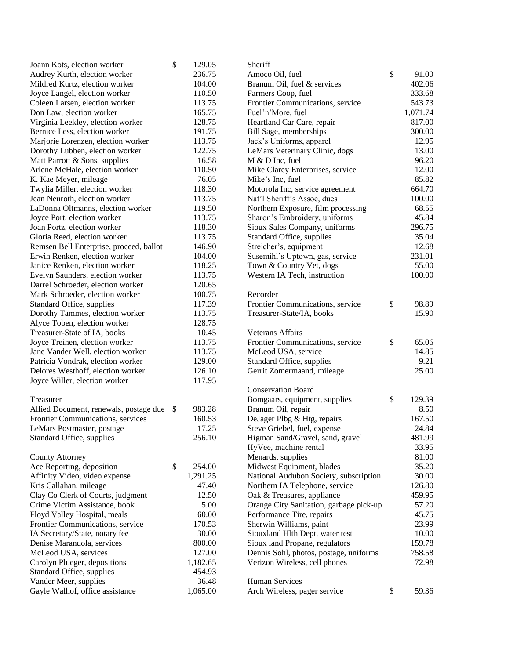| Joann Kots, election worker             | \$ | 129.05   | Sheriff                                 |              |
|-----------------------------------------|----|----------|-----------------------------------------|--------------|
| Audrey Kurth, election worker           |    | 236.75   | Amoco Oil, fuel                         | \$<br>91.00  |
| Mildred Kurtz, election worker          |    | 104.00   | Branum Oil, fuel & services             | 402.06       |
| Joyce Langel, election worker           |    | 110.50   | Farmers Coop, fuel                      | 333.68       |
| Coleen Larsen, election worker          |    | 113.75   | Frontier Communications, service        | 543.73       |
| Don Law, election worker                |    | 165.75   | Fuel'n'More, fuel                       | 1,071.74     |
| Virginia Leekley, election worker       |    | 128.75   | Heartland Car Care, repair              | 817.00       |
| Bernice Less, election worker           |    | 191.75   | Bill Sage, memberships                  | 300.00       |
| Marjorie Lorenzen, election worker      |    | 113.75   | Jack's Uniforms, apparel                | 12.95        |
| Dorothy Lubben, election worker         |    | 122.75   | LeMars Veterinary Clinic, dogs          | 13.00        |
| Matt Parrott & Sons, supplies           |    | 16.58    | M & D Inc, fuel                         | 96.20        |
| Arlene McHale, election worker          |    | 110.50   | Mike Clarey Enterprises, service        | 12.00        |
| K. Kae Meyer, mileage                   |    | 76.05    | Mike's Inc, fuel                        | 85.82        |
| Twylia Miller, election worker          |    | 118.30   | Motorola Inc, service agreement         | 664.70       |
| Jean Neuroth, election worker           |    | 113.75   | Nat'l Sheriff's Assoc, dues             | 100.00       |
| LaDonna Oltmanns, election worker       |    | 119.50   | Northern Exposure, film processing      | 68.55        |
| Joyce Port, election worker             |    | 113.75   | Sharon's Embroidery, uniforms           | 45.84        |
| Joan Portz, election worker             |    | 118.30   | Sioux Sales Company, uniforms           | 296.75       |
| Gloria Reed, election worker            |    | 113.75   | Standard Office, supplies               | 35.04        |
| Remsen Bell Enterprise, proceed, ballot |    | 146.90   | Streicher's, equipment                  | 12.68        |
| Erwin Renken, election worker           |    | 104.00   | Susemihl's Uptown, gas, service         | 231.01       |
| Janice Renken, election worker          |    | 118.25   | Town & Country Vet, dogs                | 55.00        |
| Evelyn Saunders, election worker        |    | 113.75   | Western IA Tech, instruction            | 100.00       |
| Darrel Schroeder, election worker       |    | 120.65   |                                         |              |
| Mark Schroeder, election worker         |    | 100.75   | Recorder                                |              |
| Standard Office, supplies               |    | 117.39   | Frontier Communications, service        | \$<br>98.89  |
| Dorothy Tammes, election worker         |    | 113.75   | Treasurer-State/IA, books               | 15.90        |
| Alyce Toben, election worker            |    | 128.75   |                                         |              |
| Treasurer-State of IA, books            |    | 10.45    | <b>Veterans Affairs</b>                 |              |
| Joyce Treinen, election worker          |    | 113.75   | Frontier Communications, service        | \$<br>65.06  |
| Jane Vander Well, election worker       |    | 113.75   | McLeod USA, service                     | 14.85        |
| Patricia Vondrak, election worker       |    | 129.00   | Standard Office, supplies               | 9.21         |
| Delores Westhoff, election worker       |    | 126.10   | Gerrit Zomermaand, mileage              | 25.00        |
| Joyce Willer, election worker           |    | 117.95   |                                         |              |
|                                         |    |          | <b>Conservation Board</b>               |              |
| Treasurer                               |    |          | Bomgaars, equipment, supplies           | \$<br>129.39 |
| Allied Document, renewals, postage due  | -S | 983.28   | Branum Oil, repair                      | 8.50         |
| Frontier Communications, services       |    | 160.53   | DeJager Plbg & Htg, repairs             | 167.50       |
| LeMars Postmaster, postage              |    | 17.25    | Steve Griebel, fuel, expense            | 24.84        |
| Standard Office, supplies               |    | 256.10   | Higman Sand/Gravel, sand, gravel        | 481.99       |
|                                         |    |          | HyVee, machine rental                   | 33.95        |
| <b>County Attorney</b>                  |    |          | Menards, supplies                       | 81.00        |
| Ace Reporting, deposition               | \$ | 254.00   | Midwest Equipment, blades               | 35.20        |
| Affinity Video, video expense           |    | 1,291.25 | National Audubon Society, subscription  | 30.00        |
| Kris Callahan, mileage                  |    | 47.40    | Northern IA Telephone, service          | 126.80       |
| Clay Co Clerk of Courts, judgment       |    | 12.50    | Oak & Treasures, appliance              | 459.95       |
| Crime Victim Assistance, book           |    | 5.00     | Orange City Sanitation, garbage pick-up | 57.20        |
| Floyd Valley Hospital, meals            |    | 60.00    | Performance Tire, repairs               | 45.75        |
| Frontier Communications, service        |    | 170.53   | Sherwin Williams, paint                 | 23.99        |
| IA Secretary/State, notary fee          |    | 30.00    | Siouxland Hlth Dept, water test         | 10.00        |
| Denise Marandola, services              |    | 800.00   | Sioux land Propane, regulators          | 159.78       |
| McLeod USA, services                    |    | 127.00   | Dennis Sohl, photos, postage, uniforms  | 758.58       |
| Carolyn Plueger, depositions            |    | 1,182.65 | Verizon Wireless, cell phones           | 72.98        |
| Standard Office, supplies               |    | 454.93   |                                         |              |
| Vander Meer, supplies                   |    | 36.48    | Human Services                          |              |
| Gayle Walhof, office assistance         |    | 1,065.00 | Arch Wireless, pager service            | \$<br>59.36  |
|                                         |    |          |                                         |              |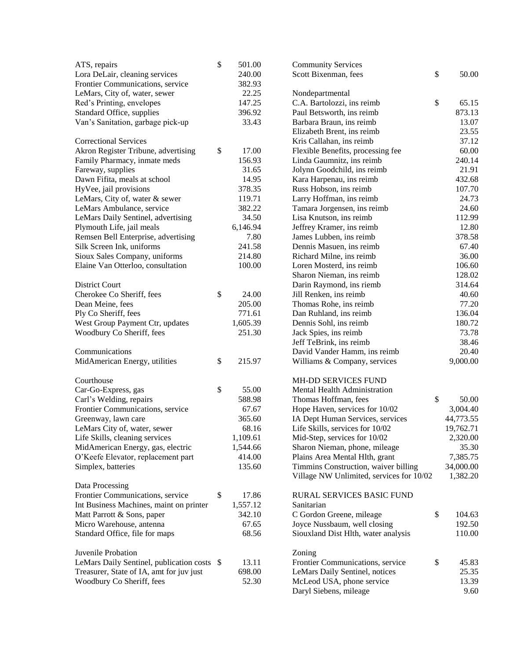| ATS, repairs                                                    | \$   | 501.00           | <b>Community Services</b>                              |                |
|-----------------------------------------------------------------|------|------------------|--------------------------------------------------------|----------------|
| Lora DeLair, cleaning services                                  |      | 240.00           | \$<br>Scott Bixenman, fees                             | 50.00          |
| Frontier Communications, service                                |      | 382.93           |                                                        |                |
| LeMars, City of, water, sewer                                   |      | 22.25            | Nondepartmental                                        |                |
| Red's Printing, envelopes                                       |      | 147.25           | C.A. Bartolozzi, ins reimb<br>\$                       | 65.15          |
| Standard Office, supplies                                       |      | 396.92           | Paul Betsworth, ins reimb                              | 873.13         |
| Van's Sanitation, garbage pick-up                               |      | 33.43            | Barbara Braun, ins reimb                               | 13.07          |
|                                                                 |      |                  | Elizabeth Brent, ins reimb                             | 23.55          |
| <b>Correctional Services</b>                                    |      |                  | Kris Callahan, ins reimb                               | 37.12          |
| Akron Register Tribune, advertising                             | \$   | 17.00            | Flexible Benefits, processing fee                      | 60.00          |
| Family Pharmacy, inmate meds                                    |      | 156.93           | Linda Gaumnitz, ins reimb                              | 240.14         |
| Fareway, supplies                                               |      | 31.65            | Jolynn Goodchild, ins reimb                            | 21.91          |
| Dawn Fifita, meals at school                                    |      | 14.95            | Kara Harpenau, ins reimb                               | 432.68         |
| HyVee, jail provisions                                          |      | 378.35           | Russ Hobson, ins reimb                                 | 107.70         |
| LeMars, City of, water & sewer                                  |      | 119.71<br>382.22 | Larry Hoffman, ins reimb                               | 24.73<br>24.60 |
| LeMars Ambulance, service<br>LeMars Daily Sentinel, advertising |      | 34.50            | Tamara Jorgensen, ins reimb<br>Lisa Knutson, ins reimb | 112.99         |
| Plymouth Life, jail meals                                       |      | 6,146.94         | Jeffrey Kramer, ins reimb                              | 12.80          |
| Remsen Bell Enterprise, advertising                             |      | 7.80             | James Lubben, ins reimb                                | 378.58         |
| Silk Screen Ink, uniforms                                       |      | 241.58           | Dennis Masuen, ins reimb                               | 67.40          |
| Sioux Sales Company, uniforms                                   |      | 214.80           | Richard Milne, ins reimb                               | 36.00          |
| Elaine Van Otterloo, consultation                               |      | 100.00           | Loren Mosterd, ins reimb                               | 106.60         |
|                                                                 |      |                  | Sharon Nieman, ins reimb                               | 128.02         |
| District Court                                                  |      |                  | Darin Raymond, ins riemb                               | 314.64         |
| Cherokee Co Sheriff, fees                                       | $\$$ | 24.00            | Jill Renken, ins reimb                                 | 40.60          |
| Dean Meine, fees                                                |      | 205.00           | Thomas Rohe, ins reimb                                 | 77.20          |
| Ply Co Sheriff, fees                                            |      | 771.61           | Dan Ruhland, ins reimb                                 | 136.04         |
| West Group Payment Ctr, updates                                 |      | 1,605.39         | Dennis Sohl, ins reimb                                 | 180.72         |
| Woodbury Co Sheriff, fees                                       |      | 251.30           | Jack Spies, ins reimb                                  | 73.78          |
|                                                                 |      |                  | Jeff TeBrink, ins reimb                                | 38.46          |
| Communications                                                  |      |                  | David Vander Hamm, ins reimb                           | 20.40          |
| MidAmerican Energy, utilities                                   | \$   | 215.97           | Williams & Company, services                           | 9,000.00       |
| Courthouse                                                      |      |                  | MH-DD SERVICES FUND                                    |                |
| Car-Go-Express, gas                                             | \$   | 55.00            | Mental Health Administration                           |                |
| Carl's Welding, repairs                                         |      | 588.98           | \$<br>Thomas Hoffman, fees                             | 50.00          |
| Frontier Communications, service                                |      | 67.67            | Hope Haven, services for 10/02                         | 3,004.40       |
| Greenway, lawn care                                             |      | 365.60           | 44,773.55<br>IA Dept Human Services, services          |                |
| LeMars City of, water, sewer                                    |      | 68.16            | Life Skills, services for 10/02<br>19,762.71           |                |
| Life Skills, cleaning services                                  |      | 1,109.61         | Mid-Step, services for 10/02                           | 2,320.00       |
| MidAmerican Energy, gas, electric                               |      | 1,544.66         | Sharon Nieman, phone, mileage                          | 35.30          |
| O'Keefe Elevator, replacement part                              |      | 414.00           | Plains Area Mental Hlth, grant                         | 7,385.75       |
| Simplex, batteries                                              |      | 135.60           | Timmins Construction, waiver billing<br>34,000.00      |                |
| Data Processing                                                 |      |                  | Village NW Unlimited, services for 10/02               | 1,382.20       |
| Frontier Communications, service                                | \$   | 17.86            | RURAL SERVICES BASIC FUND                              |                |
| Int Business Machines, maint on printer                         |      | 1,557.12         | Sanitarian                                             |                |
| Matt Parrott & Sons, paper                                      |      | 342.10           | \$<br>C Gordon Greene, mileage                         | 104.63         |
| Micro Warehouse, antenna                                        |      | 67.65            | Joyce Nussbaum, well closing                           | 192.50         |
| Standard Office, file for maps                                  |      | 68.56            | Siouxland Dist Hlth, water analysis                    | 110.00         |
|                                                                 |      |                  |                                                        |                |
| Juvenile Probation                                              |      |                  | Zoning                                                 |                |
| LeMars Daily Sentinel, publication costs \$                     |      | 13.11            | \$<br>Frontier Communications, service                 | 45.83          |
| Treasurer, State of IA, amt for juv just                        |      | 698.00           | LeMars Daily Sentinel, notices                         | 25.35          |
| Woodbury Co Sheriff, fees                                       |      | 52.30            | McLeod USA, phone service                              | 13.39          |
|                                                                 |      |                  | Daryl Siebens, mileage                                 | 9.60           |
|                                                                 |      |                  |                                                        |                |